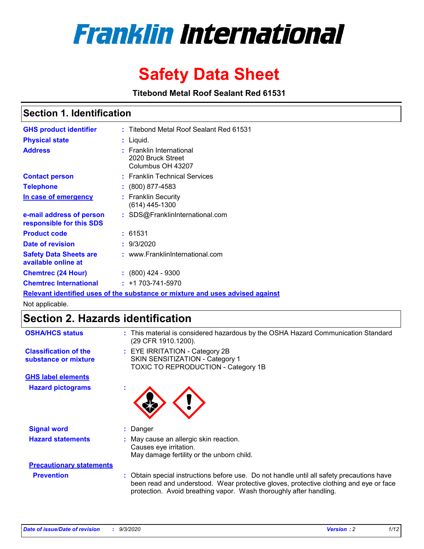

# **Safety Data Sheet**

**Titebond Metal Roof Sealant Red 61531**

# **Section 1. Identification**

| <b>GHS product identifier</b>                                                 |  | : Titebond Metal Roof Sealant Red 61531                                 |  |  |
|-------------------------------------------------------------------------------|--|-------------------------------------------------------------------------|--|--|
| <b>Physical state</b>                                                         |  | : Liquid.                                                               |  |  |
| <b>Address</b>                                                                |  | <b>Franklin International</b><br>2020 Bruck Street<br>Columbus OH 43207 |  |  |
| <b>Contact person</b>                                                         |  | : Franklin Technical Services                                           |  |  |
| <b>Telephone</b>                                                              |  | $\colon$ (800) 877-4583                                                 |  |  |
| In case of emergency                                                          |  | : Franklin Security<br>(614) 445-1300                                   |  |  |
| e-mail address of person<br>responsible for this SDS                          |  | : SDS@FranklinInternational.com                                         |  |  |
| <b>Product code</b>                                                           |  | : 61531                                                                 |  |  |
| Date of revision                                                              |  | : 9/3/2020                                                              |  |  |
| <b>Safety Data Sheets are</b><br>available online at                          |  | : www.FranklinInternational.com                                         |  |  |
| <b>Chemtrec (24 Hour)</b>                                                     |  | $: (800)$ 424 - 9300                                                    |  |  |
| <b>Chemtrec International</b>                                                 |  | $: +1703 - 741 - 5970$                                                  |  |  |
| Relevant identified uses of the substance or mixture and uses advised against |  |                                                                         |  |  |

Not applicable.

# **Section 2. Hazards identification**

| <b>OSHA/HCS status</b>                               | This material is considered hazardous by the OSHA Hazard Communication Standard<br>(29 CFR 1910.1200).                                                                                                                                                   |
|------------------------------------------------------|----------------------------------------------------------------------------------------------------------------------------------------------------------------------------------------------------------------------------------------------------------|
| <b>Classification of the</b><br>substance or mixture | : EYE IRRITATION - Category 2B<br>SKIN SENSITIZATION - Category 1<br>TOXIC TO REPRODUCTION - Category 1B                                                                                                                                                 |
| <b>GHS label elements</b>                            |                                                                                                                                                                                                                                                          |
| <b>Hazard pictograms</b>                             |                                                                                                                                                                                                                                                          |
| <b>Signal word</b>                                   | Danger                                                                                                                                                                                                                                                   |
| <b>Hazard statements</b>                             | May cause an allergic skin reaction.<br>Causes eye irritation.<br>May damage fertility or the unborn child.                                                                                                                                              |
| <b>Precautionary statements</b>                      |                                                                                                                                                                                                                                                          |
| <b>Prevention</b>                                    | : Obtain special instructions before use. Do not handle until all safety precautions have<br>been read and understood. Wear protective gloves, protective clothing and eye or face<br>protection. Avoid breathing vapor. Wash thoroughly after handling. |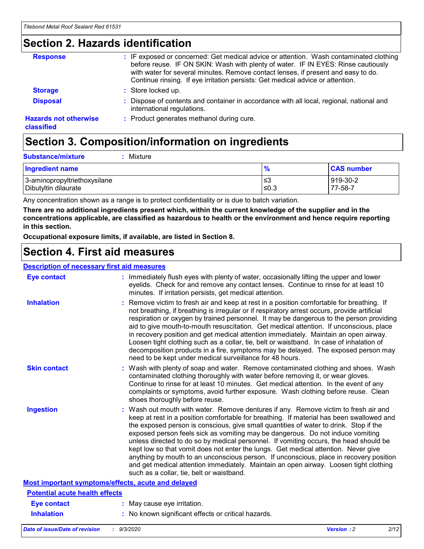# **Section 2. Hazards identification**

| <b>Response</b>                            | : IF exposed or concerned: Get medical advice or attention. Wash contaminated clothing<br>before reuse. IF ON SKIN: Wash with plenty of water. IF IN EYES: Rinse cautiously<br>with water for several minutes. Remove contact lenses, if present and easy to do.<br>Continue rinsing. If eye irritation persists: Get medical advice or attention. |
|--------------------------------------------|----------------------------------------------------------------------------------------------------------------------------------------------------------------------------------------------------------------------------------------------------------------------------------------------------------------------------------------------------|
| <b>Storage</b>                             | : Store locked up.                                                                                                                                                                                                                                                                                                                                 |
| <b>Disposal</b>                            | : Dispose of contents and container in accordance with all local, regional, national and<br>international regulations.                                                                                                                                                                                                                             |
| <b>Hazards not otherwise</b><br>classified | : Product generates methanol during cure.                                                                                                                                                                                                                                                                                                          |

# **Section 3. Composition/information on ingredients**

| <b>Substance/mixture</b><br>Mixture |
|-------------------------------------|
|                                     |

| <b>Ingredient name</b>       | 70    | <b>CAS number</b> |
|------------------------------|-------|-------------------|
| 3-aminopropyltriethoxysilane | ≤3    | 919-30-2          |
| Dibutyltin dilaurate         | .≤0.3 | 77-58-7           |

Any concentration shown as a range is to protect confidentiality or is due to batch variation.

**There are no additional ingredients present which, within the current knowledge of the supplier and in the concentrations applicable, are classified as hazardous to health or the environment and hence require reporting in this section.**

**Occupational exposure limits, if available, are listed in Section 8.**

# **Section 4. First aid measures**

| <b>Description of necessary first aid measures</b> |                                                                                                                                                                                                                                                                                                                                                                                                                                                                                                                                                                                                                                                                                                                                                                           |
|----------------------------------------------------|---------------------------------------------------------------------------------------------------------------------------------------------------------------------------------------------------------------------------------------------------------------------------------------------------------------------------------------------------------------------------------------------------------------------------------------------------------------------------------------------------------------------------------------------------------------------------------------------------------------------------------------------------------------------------------------------------------------------------------------------------------------------------|
| <b>Eye contact</b>                                 | : Immediately flush eyes with plenty of water, occasionally lifting the upper and lower<br>eyelids. Check for and remove any contact lenses. Continue to rinse for at least 10<br>minutes. If irritation persists, get medical attention.                                                                                                                                                                                                                                                                                                                                                                                                                                                                                                                                 |
| <b>Inhalation</b>                                  | : Remove victim to fresh air and keep at rest in a position comfortable for breathing. If<br>not breathing, if breathing is irregular or if respiratory arrest occurs, provide artificial<br>respiration or oxygen by trained personnel. It may be dangerous to the person providing<br>aid to give mouth-to-mouth resuscitation. Get medical attention. If unconscious, place<br>in recovery position and get medical attention immediately. Maintain an open airway.<br>Loosen tight clothing such as a collar, tie, belt or waistband. In case of inhalation of<br>decomposition products in a fire, symptoms may be delayed. The exposed person may<br>need to be kept under medical surveillance for 48 hours.                                                       |
| <b>Skin contact</b>                                | : Wash with plenty of soap and water. Remove contaminated clothing and shoes. Wash<br>contaminated clothing thoroughly with water before removing it, or wear gloves.<br>Continue to rinse for at least 10 minutes. Get medical attention. In the event of any<br>complaints or symptoms, avoid further exposure. Wash clothing before reuse. Clean<br>shoes thoroughly before reuse.                                                                                                                                                                                                                                                                                                                                                                                     |
| <b>Ingestion</b>                                   | : Wash out mouth with water. Remove dentures if any. Remove victim to fresh air and<br>keep at rest in a position comfortable for breathing. If material has been swallowed and<br>the exposed person is conscious, give small quantities of water to drink. Stop if the<br>exposed person feels sick as vomiting may be dangerous. Do not induce vomiting<br>unless directed to do so by medical personnel. If vomiting occurs, the head should be<br>kept low so that vomit does not enter the lungs. Get medical attention. Never give<br>anything by mouth to an unconscious person. If unconscious, place in recovery position<br>and get medical attention immediately. Maintain an open airway. Loosen tight clothing<br>such as a collar, tie, belt or waistband. |
| Most important symptoms/effects, acute and delayed |                                                                                                                                                                                                                                                                                                                                                                                                                                                                                                                                                                                                                                                                                                                                                                           |
| <b>Potential acute health effects</b>              |                                                                                                                                                                                                                                                                                                                                                                                                                                                                                                                                                                                                                                                                                                                                                                           |
| Eye contact                                        | : May cause eye irritation.                                                                                                                                                                                                                                                                                                                                                                                                                                                                                                                                                                                                                                                                                                                                               |
| <b>Inhalation</b>                                  | : No known significant effects or critical hazards.                                                                                                                                                                                                                                                                                                                                                                                                                                                                                                                                                                                                                                                                                                                       |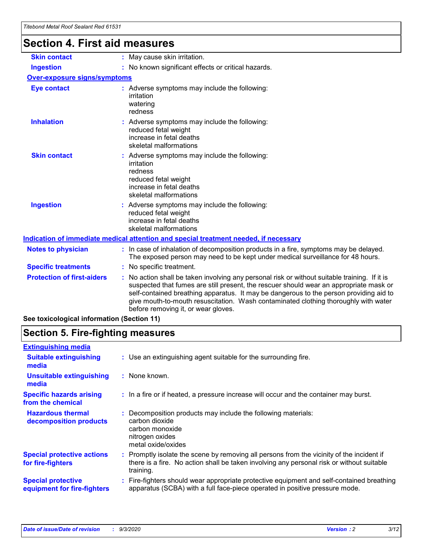# **Section 4. First aid measures**

| <b>Skin contact</b>                 | : May cause skin irritation.                                                                                                                                                                                                                                                                                                                                                                                    |
|-------------------------------------|-----------------------------------------------------------------------------------------------------------------------------------------------------------------------------------------------------------------------------------------------------------------------------------------------------------------------------------------------------------------------------------------------------------------|
| <b>Ingestion</b>                    | : No known significant effects or critical hazards.                                                                                                                                                                                                                                                                                                                                                             |
| <b>Over-exposure signs/symptoms</b> |                                                                                                                                                                                                                                                                                                                                                                                                                 |
| <b>Eye contact</b>                  | : Adverse symptoms may include the following:<br>irritation<br>watering<br>redness                                                                                                                                                                                                                                                                                                                              |
| <b>Inhalation</b>                   | : Adverse symptoms may include the following:<br>reduced fetal weight<br>increase in fetal deaths<br>skeletal malformations                                                                                                                                                                                                                                                                                     |
| <b>Skin contact</b>                 | : Adverse symptoms may include the following:<br>irritation<br>redness<br>reduced fetal weight<br>increase in fetal deaths<br>skeletal malformations                                                                                                                                                                                                                                                            |
| <b>Ingestion</b>                    | : Adverse symptoms may include the following:<br>reduced fetal weight<br>increase in fetal deaths<br>skeletal malformations                                                                                                                                                                                                                                                                                     |
|                                     | <u>Indication of immediate medical attention and special treatment needed, if necessary</u>                                                                                                                                                                                                                                                                                                                     |
| <b>Notes to physician</b>           | : In case of inhalation of decomposition products in a fire, symptoms may be delayed.<br>The exposed person may need to be kept under medical surveillance for 48 hours.                                                                                                                                                                                                                                        |
| <b>Specific treatments</b>          | : No specific treatment.                                                                                                                                                                                                                                                                                                                                                                                        |
| <b>Protection of first-aiders</b>   | : No action shall be taken involving any personal risk or without suitable training. If it is<br>suspected that fumes are still present, the rescuer should wear an appropriate mask or<br>self-contained breathing apparatus. It may be dangerous to the person providing aid to<br>give mouth-to-mouth resuscitation. Wash contaminated clothing thoroughly with water<br>before removing it, or wear gloves. |
|                                     |                                                                                                                                                                                                                                                                                                                                                                                                                 |

**See toxicological information (Section 11)**

# **Section 5. Fire-fighting measures**

| <b>Extinguishing media</b>                               |                                                                                                                                                                                                     |
|----------------------------------------------------------|-----------------------------------------------------------------------------------------------------------------------------------------------------------------------------------------------------|
| <b>Suitable extinguishing</b><br>media                   | : Use an extinguishing agent suitable for the surrounding fire.                                                                                                                                     |
| <b>Unsuitable extinguishing</b><br>media                 | $:$ None known.                                                                                                                                                                                     |
| <b>Specific hazards arising</b><br>from the chemical     | : In a fire or if heated, a pressure increase will occur and the container may burst.                                                                                                               |
| <b>Hazardous thermal</b><br>decomposition products       | Decomposition products may include the following materials:<br>carbon dioxide<br>carbon monoxide<br>nitrogen oxides<br>metal oxide/oxides                                                           |
| <b>Special protective actions</b><br>for fire-fighters   | : Promptly isolate the scene by removing all persons from the vicinity of the incident if<br>there is a fire. No action shall be taken involving any personal risk or without suitable<br>training. |
| <b>Special protective</b><br>equipment for fire-fighters | : Fire-fighters should wear appropriate protective equipment and self-contained breathing<br>apparatus (SCBA) with a full face-piece operated in positive pressure mode.                            |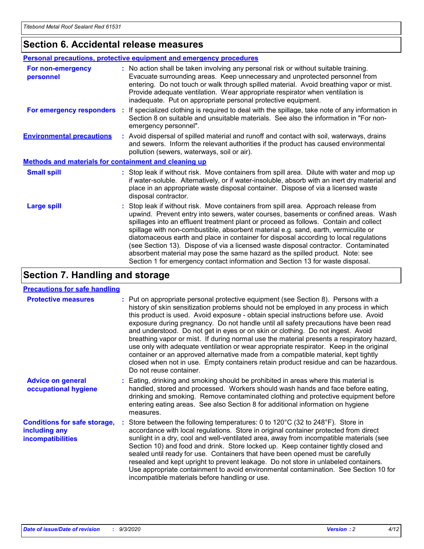# **Section 6. Accidental release measures**

|                                                              | <b>Personal precautions, protective equipment and emergency procedures</b>                                                                                                                                                                                                                                                                                                                                                                                                                                                                                                                                                                                                                                   |  |  |  |
|--------------------------------------------------------------|--------------------------------------------------------------------------------------------------------------------------------------------------------------------------------------------------------------------------------------------------------------------------------------------------------------------------------------------------------------------------------------------------------------------------------------------------------------------------------------------------------------------------------------------------------------------------------------------------------------------------------------------------------------------------------------------------------------|--|--|--|
| For non-emergency<br>personnel                               | : No action shall be taken involving any personal risk or without suitable training.<br>Evacuate surrounding areas. Keep unnecessary and unprotected personnel from<br>entering. Do not touch or walk through spilled material. Avoid breathing vapor or mist.<br>Provide adequate ventilation. Wear appropriate respirator when ventilation is<br>inadequate. Put on appropriate personal protective equipment.                                                                                                                                                                                                                                                                                             |  |  |  |
| For emergency responders                                     | : If specialized clothing is required to deal with the spillage, take note of any information in<br>Section 8 on suitable and unsuitable materials. See also the information in "For non-<br>emergency personnel".                                                                                                                                                                                                                                                                                                                                                                                                                                                                                           |  |  |  |
| <b>Environmental precautions</b>                             | : Avoid dispersal of spilled material and runoff and contact with soil, waterways, drains<br>and sewers. Inform the relevant authorities if the product has caused environmental<br>pollution (sewers, waterways, soil or air).                                                                                                                                                                                                                                                                                                                                                                                                                                                                              |  |  |  |
| <b>Methods and materials for containment and cleaning up</b> |                                                                                                                                                                                                                                                                                                                                                                                                                                                                                                                                                                                                                                                                                                              |  |  |  |
| <b>Small spill</b>                                           | : Stop leak if without risk. Move containers from spill area. Dilute with water and mop up<br>if water-soluble. Alternatively, or if water-insoluble, absorb with an inert dry material and<br>place in an appropriate waste disposal container. Dispose of via a licensed waste<br>disposal contractor.                                                                                                                                                                                                                                                                                                                                                                                                     |  |  |  |
| <b>Large spill</b>                                           | : Stop leak if without risk. Move containers from spill area. Approach release from<br>upwind. Prevent entry into sewers, water courses, basements or confined areas. Wash<br>spillages into an effluent treatment plant or proceed as follows. Contain and collect<br>spillage with non-combustible, absorbent material e.g. sand, earth, vermiculite or<br>diatomaceous earth and place in container for disposal according to local regulations<br>(see Section 13). Dispose of via a licensed waste disposal contractor. Contaminated<br>absorbent material may pose the same hazard as the spilled product. Note: see<br>Section 1 for emergency contact information and Section 13 for waste disposal. |  |  |  |

# **Section 7. Handling and storage**

### **Precautions for safe handling**

| <b>Protective measures</b>                                                       | : Put on appropriate personal protective equipment (see Section 8). Persons with a<br>history of skin sensitization problems should not be employed in any process in which<br>this product is used. Avoid exposure - obtain special instructions before use. Avoid<br>exposure during pregnancy. Do not handle until all safety precautions have been read<br>and understood. Do not get in eyes or on skin or clothing. Do not ingest. Avoid<br>breathing vapor or mist. If during normal use the material presents a respiratory hazard,<br>use only with adequate ventilation or wear appropriate respirator. Keep in the original<br>container or an approved alternative made from a compatible material, kept tightly<br>closed when not in use. Empty containers retain product residue and can be hazardous.<br>Do not reuse container. |
|----------------------------------------------------------------------------------|--------------------------------------------------------------------------------------------------------------------------------------------------------------------------------------------------------------------------------------------------------------------------------------------------------------------------------------------------------------------------------------------------------------------------------------------------------------------------------------------------------------------------------------------------------------------------------------------------------------------------------------------------------------------------------------------------------------------------------------------------------------------------------------------------------------------------------------------------|
| <b>Advice on general</b><br>occupational hygiene                                 | : Eating, drinking and smoking should be prohibited in areas where this material is<br>handled, stored and processed. Workers should wash hands and face before eating,<br>drinking and smoking. Remove contaminated clothing and protective equipment before<br>entering eating areas. See also Section 8 for additional information on hygiene<br>measures.                                                                                                                                                                                                                                                                                                                                                                                                                                                                                    |
| <b>Conditions for safe storage,</b><br>including any<br><b>incompatibilities</b> | : Store between the following temperatures: 0 to 120°C (32 to 248°F). Store in<br>accordance with local regulations. Store in original container protected from direct<br>sunlight in a dry, cool and well-ventilated area, away from incompatible materials (see<br>Section 10) and food and drink. Store locked up. Keep container tightly closed and<br>sealed until ready for use. Containers that have been opened must be carefully<br>resealed and kept upright to prevent leakage. Do not store in unlabeled containers.<br>Use appropriate containment to avoid environmental contamination. See Section 10 for<br>incompatible materials before handling or use.                                                                                                                                                                       |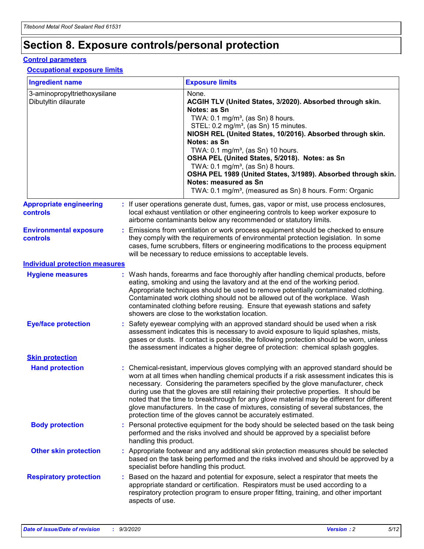# **Section 8. Exposure controls/personal protection**

### **Control parameters**

### **Occupational exposure limits**

| <b>Ingredient name</b>                               |                        | <b>Exposure limits</b>                                                                                                                                                                                                                                                                                                                                                                                                                                                                                                                                                                                                 |
|------------------------------------------------------|------------------------|------------------------------------------------------------------------------------------------------------------------------------------------------------------------------------------------------------------------------------------------------------------------------------------------------------------------------------------------------------------------------------------------------------------------------------------------------------------------------------------------------------------------------------------------------------------------------------------------------------------------|
| 3-aminopropyltriethoxysilane<br>Dibutyltin dilaurate |                        | None.<br>ACGIH TLV (United States, 3/2020). Absorbed through skin.<br>Notes: as Sn<br>TWA: 0.1 mg/m <sup>3</sup> , (as Sn) 8 hours.<br>STEL: 0.2 mg/m <sup>3</sup> , (as Sn) 15 minutes.<br>NIOSH REL (United States, 10/2016). Absorbed through skin.<br>Notes: as Sn<br>TWA: 0.1 mg/m <sup>3</sup> , (as Sn) 10 hours.<br>OSHA PEL (United States, 5/2018). Notes: as Sn<br>TWA: $0.1 \text{ mg/m}^3$ , (as Sn) 8 hours.<br>OSHA PEL 1989 (United States, 3/1989). Absorbed through skin.<br>Notes: measured as Sn<br>TWA: 0.1 mg/m <sup>3</sup> , (measured as Sn) 8 hours. Form: Organic                           |
| <b>Appropriate engineering</b><br><b>controls</b>    |                        | : If user operations generate dust, fumes, gas, vapor or mist, use process enclosures,<br>local exhaust ventilation or other engineering controls to keep worker exposure to<br>airborne contaminants below any recommended or statutory limits.                                                                                                                                                                                                                                                                                                                                                                       |
| <b>Environmental exposure</b><br><b>controls</b>     |                        | Emissions from ventilation or work process equipment should be checked to ensure<br>they comply with the requirements of environmental protection legislation. In some<br>cases, fume scrubbers, filters or engineering modifications to the process equipment<br>will be necessary to reduce emissions to acceptable levels.                                                                                                                                                                                                                                                                                          |
| <b>Individual protection measures</b>                |                        |                                                                                                                                                                                                                                                                                                                                                                                                                                                                                                                                                                                                                        |
| <b>Hygiene measures</b>                              |                        | : Wash hands, forearms and face thoroughly after handling chemical products, before<br>eating, smoking and using the lavatory and at the end of the working period.<br>Appropriate techniques should be used to remove potentially contaminated clothing.<br>Contaminated work clothing should not be allowed out of the workplace. Wash<br>contaminated clothing before reusing. Ensure that eyewash stations and safety<br>showers are close to the workstation location.                                                                                                                                            |
| <b>Eye/face protection</b>                           |                        | : Safety eyewear complying with an approved standard should be used when a risk<br>assessment indicates this is necessary to avoid exposure to liquid splashes, mists,<br>gases or dusts. If contact is possible, the following protection should be worn, unless<br>the assessment indicates a higher degree of protection: chemical splash goggles.                                                                                                                                                                                                                                                                  |
| <b>Skin protection</b>                               |                        |                                                                                                                                                                                                                                                                                                                                                                                                                                                                                                                                                                                                                        |
| <b>Hand protection</b>                               |                        | : Chemical-resistant, impervious gloves complying with an approved standard should be<br>worn at all times when handling chemical products if a risk assessment indicates this is<br>necessary. Considering the parameters specified by the glove manufacturer, check<br>during use that the gloves are still retaining their protective properties. It should be<br>noted that the time to breakthrough for any glove material may be different for different<br>glove manufacturers. In the case of mixtures, consisting of several substances, the<br>protection time of the gloves cannot be accurately estimated. |
| <b>Body protection</b>                               | handling this product. | : Personal protective equipment for the body should be selected based on the task being<br>performed and the risks involved and should be approved by a specialist before                                                                                                                                                                                                                                                                                                                                                                                                                                              |
| <b>Other skin protection</b>                         |                        | : Appropriate footwear and any additional skin protection measures should be selected<br>based on the task being performed and the risks involved and should be approved by a<br>specialist before handling this product.                                                                                                                                                                                                                                                                                                                                                                                              |
| <b>Respiratory protection</b>                        | aspects of use.        | : Based on the hazard and potential for exposure, select a respirator that meets the<br>appropriate standard or certification. Respirators must be used according to a<br>respiratory protection program to ensure proper fitting, training, and other important                                                                                                                                                                                                                                                                                                                                                       |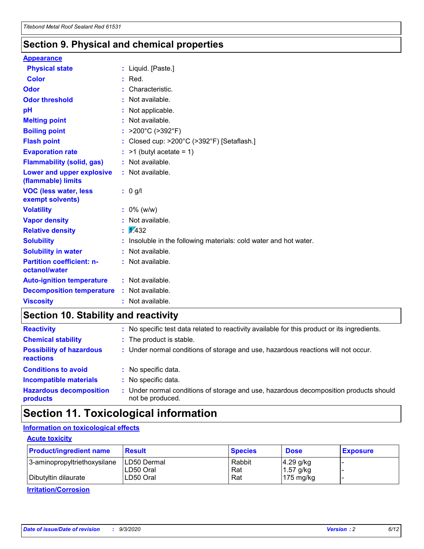## **Section 9. Physical and chemical properties**

### **Appearance**

| <b>Physical state</b>                             | : Liquid. [Paste.]                                              |
|---------------------------------------------------|-----------------------------------------------------------------|
| Color                                             | $:$ Red.                                                        |
| Odor                                              | : Characteristic.                                               |
| <b>Odor threshold</b>                             | $:$ Not available.                                              |
| рH                                                | : Not applicable.                                               |
| <b>Melting point</b>                              | : Not available.                                                |
| <b>Boiling point</b>                              | : $>200^{\circ}$ C ( $>392^{\circ}$ F)                          |
| <b>Flash point</b>                                | : Closed cup: >200°C (>392°F) [Setaflash.]                      |
| <b>Evaporation rate</b>                           | $:$ >1 (butyl acetate = 1)                                      |
| <b>Flammability (solid, gas)</b>                  | : Not available.                                                |
| Lower and upper explosive<br>(flammable) limits   | $:$ Not available.                                              |
| <b>VOC (less water, less</b><br>exempt solvents)  | : 0 g/l                                                         |
| <b>Volatility</b>                                 | $: 0\%$ (w/w)                                                   |
| <b>Vapor density</b>                              | : Not available.                                                |
| <b>Relative density</b>                           | $\sqrt{x}$ 432                                                  |
| <b>Solubility</b>                                 | Insoluble in the following materials: cold water and hot water. |
| <b>Solubility in water</b>                        | : Not available.                                                |
| <b>Partition coefficient: n-</b><br>octanol/water | $:$ Not available.                                              |
| <b>Auto-ignition temperature</b>                  | : Not available.                                                |
| <b>Decomposition temperature</b>                  | : Not available.                                                |
| <b>Viscosity</b>                                  | $:$ Not available.                                              |

# **Section 10. Stability and reactivity**

| <b>Reactivity</b>                            |    | : No specific test data related to reactivity available for this product or its ingredients.            |
|----------------------------------------------|----|---------------------------------------------------------------------------------------------------------|
| <b>Chemical stability</b>                    |    | : The product is stable.                                                                                |
| <b>Possibility of hazardous</b><br>reactions |    | : Under normal conditions of storage and use, hazardous reactions will not occur.                       |
| <b>Conditions to avoid</b>                   |    | : No specific data.                                                                                     |
| <b>Incompatible materials</b>                |    | : No specific data.                                                                                     |
| <b>Hazardous decomposition</b><br>products   | ÷. | Under normal conditions of storage and use, hazardous decomposition products should<br>not be produced. |

# **Section 11. Toxicological information**

## **Information on toxicological effects**

### **Acute toxicity**

| <b>Product/ingredient name</b> | <b>Result</b>           | <b>Species</b> | <b>Dose</b>                | <b>Exposure</b> |
|--------------------------------|-------------------------|----------------|----------------------------|-----------------|
| 3-aminopropyltriethoxysilane   | <b>ILD50 Dermal</b>     | Rabbit         | 4.29 g/kg                  |                 |
| Dibutyltin dilaurate           | ILD50 Oral<br>LD50 Oral | Rat<br>Rat     | $1.57$ g/kg<br>175 $mg/kg$ |                 |
|                                |                         |                |                            |                 |

**Irritation/Corrosion**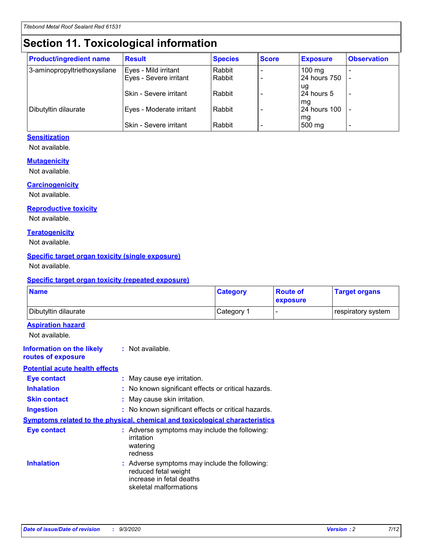# **Section 11. Toxicological information**

| <b>Product/ingredient name</b> | <b>Result</b>            | <b>Species</b> | <b>Score</b> | <b>Exposure</b>     | <b>Observation</b> |
|--------------------------------|--------------------------|----------------|--------------|---------------------|--------------------|
| 3-aminopropyltriethoxysilane   | Eyes - Mild irritant     | Rabbit         |              | $100 \text{ mg}$    |                    |
|                                | Eyes - Severe irritant   | Rabbit         |              | 24 hours 750        |                    |
|                                |                          |                |              | ug                  |                    |
|                                | Skin - Severe irritant   | Rabbit         |              | 24 hours 5          | ٠                  |
|                                |                          |                |              | mq                  |                    |
| Dibutyltin dilaurate           | Eyes - Moderate irritant | Rabbit         |              | <b>24 hours 100</b> |                    |
|                                | Skin - Severe irritant   | Rabbit         |              | mg<br>500 mg        |                    |

### **Sensitization**

Not available.

### **Mutagenicity**

Not available.

### **Carcinogenicity**

Not available.

#### **Reproductive toxicity**

Not available.

### **Teratogenicity**

Not available.

### **Specific target organ toxicity (single exposure)**

Not available.

### **Specific target organ toxicity (repeated exposure)**

| <b>Name</b>                                                                         |                                                                            | <b>Category</b>                                     | <b>Route of</b><br>exposure | <b>Target organs</b> |  |
|-------------------------------------------------------------------------------------|----------------------------------------------------------------------------|-----------------------------------------------------|-----------------------------|----------------------|--|
| Dibutyltin dilaurate                                                                |                                                                            | Category 1                                          |                             | respiratory system   |  |
| <b>Aspiration hazard</b><br>Not available.                                          |                                                                            |                                                     |                             |                      |  |
| <b>Information on the likely</b><br>routes of exposure                              | : Not available.                                                           |                                                     |                             |                      |  |
| <b>Potential acute health effects</b>                                               |                                                                            |                                                     |                             |                      |  |
| <b>Eye contact</b>                                                                  | : May cause eye irritation.                                                |                                                     |                             |                      |  |
| <b>Inhalation</b>                                                                   |                                                                            | : No known significant effects or critical hazards. |                             |                      |  |
| <b>Skin contact</b>                                                                 |                                                                            | : May cause skin irritation.                        |                             |                      |  |
| <b>Ingestion</b>                                                                    |                                                                            | : No known significant effects or critical hazards. |                             |                      |  |
| <b>Symptoms related to the physical, chemical and toxicological characteristics</b> |                                                                            |                                                     |                             |                      |  |
| <b>Eye contact</b>                                                                  | irritation<br>watering<br>redness                                          | : Adverse symptoms may include the following:       |                             |                      |  |
| <b>Inhalation</b>                                                                   | reduced fetal weight<br>increase in fetal deaths<br>skeletal malformations | : Adverse symptoms may include the following:       |                             |                      |  |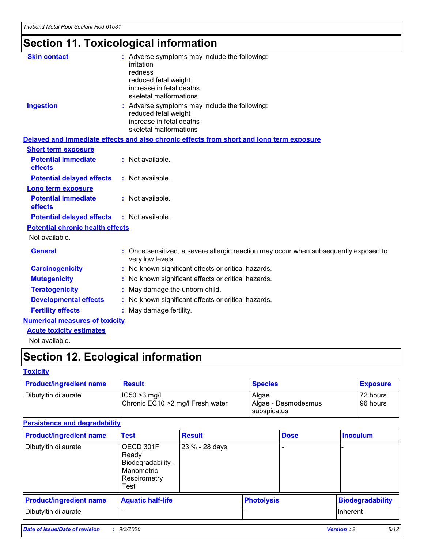# **Section 11. Toxicological information**

| <b>Skin contact</b>                     | : Adverse symptoms may include the following:                                                            |
|-----------------------------------------|----------------------------------------------------------------------------------------------------------|
|                                         | irritation                                                                                               |
|                                         | redness                                                                                                  |
|                                         | reduced fetal weight                                                                                     |
|                                         | increase in fetal deaths                                                                                 |
|                                         | skeletal malformations                                                                                   |
| <b>Ingestion</b>                        | : Adverse symptoms may include the following:                                                            |
|                                         | reduced fetal weight                                                                                     |
|                                         | increase in fetal deaths                                                                                 |
|                                         | skeletal malformations                                                                                   |
|                                         | Delayed and immediate effects and also chronic effects from short and long term exposure                 |
| <b>Short term exposure</b>              |                                                                                                          |
| <b>Potential immediate</b>              | : Not available.                                                                                         |
| effects                                 |                                                                                                          |
| <b>Potential delayed effects</b>        | : Not available.                                                                                         |
| Long term exposure                      |                                                                                                          |
| <b>Potential immediate</b>              | : Not available.                                                                                         |
| effects                                 |                                                                                                          |
| <b>Potential delayed effects</b>        | : Not available.                                                                                         |
| <b>Potential chronic health effects</b> |                                                                                                          |
| Not available.                          |                                                                                                          |
| <b>General</b>                          | : Once sensitized, a severe allergic reaction may occur when subsequently exposed to<br>very low levels. |
| <b>Carcinogenicity</b>                  | : No known significant effects or critical hazards.                                                      |
| <b>Mutagenicity</b>                     | : No known significant effects or critical hazards.                                                      |
| <b>Teratogenicity</b>                   | May damage the unborn child.                                                                             |
| <b>Developmental effects</b>            | : No known significant effects or critical hazards.                                                      |
| <b>Fertility effects</b>                | May damage fertility.                                                                                    |
| <b>Numerical measures of toxicity</b>   |                                                                                                          |
| <b>Acute toxicity estimates</b>         |                                                                                                          |
| الملحلة والمستحيط والمسالم              |                                                                                                          |

Not available.

# **Section 12. Ecological information**

### **Toxicity**

| <b>Product/ingredient name</b> | <b>Result</b>                                       | <b>Species</b>               | <b>Exposure</b>       |
|--------------------------------|-----------------------------------------------------|------------------------------|-----------------------|
| Dibutyltin dilaurate           | $ CC50>3$ mg/l<br>Chronic EC10 > 2 mg/l Fresh water | Algae<br>Algae - Desmodesmus | 72 hours<br>196 hours |
|                                |                                                     | <b>I</b> subspicatus         |                       |

## **Persistence and degradability**

| <b>Product/ingredient name</b> | <b>Test</b>                                                                    | <b>Result</b>  |                   | <b>Dose</b> | <b>Inoculum</b>         |
|--------------------------------|--------------------------------------------------------------------------------|----------------|-------------------|-------------|-------------------------|
| Dibutyltin dilaurate           | OECD 301F<br>Ready<br>Biodegradability -<br>Manometric<br>Respirometry<br>Test | 23 % - 28 days |                   |             |                         |
| <b>Product/ingredient name</b> | <b>Aquatic half-life</b>                                                       |                | <b>Photolysis</b> |             | <b>Biodegradability</b> |
| Dibutyltin dilaurate           |                                                                                |                |                   |             | <b>Inherent</b>         |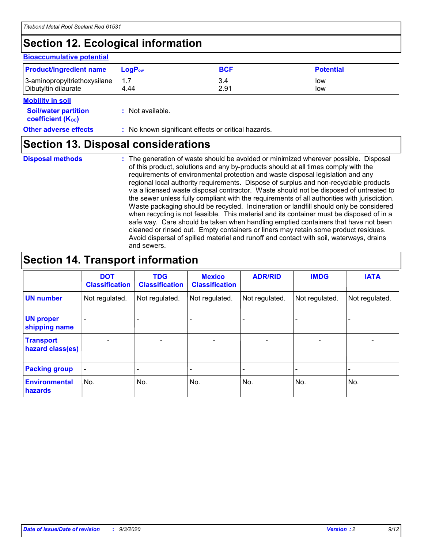# **Section 12. Ecological information**

#### **Bioaccumulative potential**

| <b>Product/ingredient name</b> | <b>LogP</b> <sub>ow</sub> | <b>BCF</b> | <b>Potential</b> |
|--------------------------------|---------------------------|------------|------------------|
| 3-aminopropyltriethoxysilane   | 4.44                      | 3.4        | low              |
| Dibutyltin dilaurate           |                           | 2.91       | low              |

#### **Mobility in soil**

| <b>Soil/water partition</b>           | : Not available. |
|---------------------------------------|------------------|
| <b>coefficient</b> (K <sub>oc</sub> ) |                  |

**Other adverse effects** : No known significant effects or critical hazards.

## **Section 13. Disposal considerations**

**Disposal methods :**

The generation of waste should be avoided or minimized wherever possible. Disposal of this product, solutions and any by-products should at all times comply with the requirements of environmental protection and waste disposal legislation and any regional local authority requirements. Dispose of surplus and non-recyclable products via a licensed waste disposal contractor. Waste should not be disposed of untreated to the sewer unless fully compliant with the requirements of all authorities with jurisdiction. Waste packaging should be recycled. Incineration or landfill should only be considered when recycling is not feasible. This material and its container must be disposed of in a safe way. Care should be taken when handling emptied containers that have not been cleaned or rinsed out. Empty containers or liners may retain some product residues. Avoid dispersal of spilled material and runoff and contact with soil, waterways, drains and sewers.

# **Section 14. Transport information**

|                                      | <b>DOT</b><br><b>Classification</b> | <b>TDG</b><br><b>Classification</b> | <b>Mexico</b><br><b>Classification</b> | <b>ADR/RID</b>           | <b>IMDG</b>              | <b>IATA</b>    |
|--------------------------------------|-------------------------------------|-------------------------------------|----------------------------------------|--------------------------|--------------------------|----------------|
| <b>UN number</b>                     | Not regulated.                      | Not regulated.                      | Not regulated.                         | Not regulated.           | Not regulated.           | Not regulated. |
| <b>UN proper</b><br>shipping name    |                                     |                                     |                                        |                          |                          |                |
| <b>Transport</b><br>hazard class(es) |                                     | $\overline{\phantom{0}}$            | $\qquad \qquad \blacksquare$           | $\overline{\phantom{0}}$ | $\overline{\phantom{0}}$ |                |
| <b>Packing group</b>                 |                                     |                                     |                                        |                          |                          |                |
| <b>Environmental</b><br>hazards      | No.                                 | No.                                 | No.                                    | No.                      | No.                      | No.            |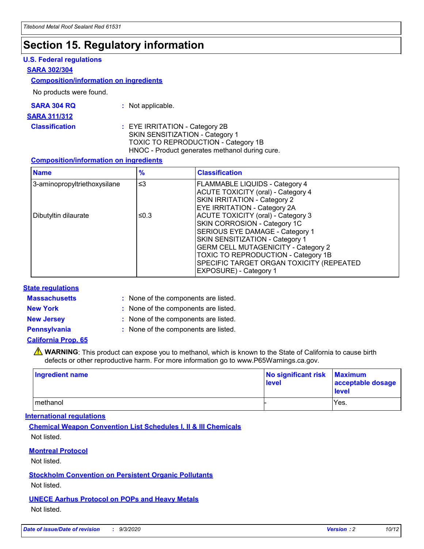# **Section 15. Regulatory information**

### **U.S. Federal regulations**

### **SARA 302/304**

### **Composition/information on ingredients**

No products were found.

| SARA 304 RQ | Not applicable. |
|-------------|-----------------|
|-------------|-----------------|

#### **SARA 311/312**

### **Classification :** EYE IRRITATION - Category 2B SKIN SENSITIZATION - Category 1 TOXIC TO REPRODUCTION - Category 1B HNOC - Product generates methanol during cure.

### **Composition/information on ingredients**

| <b>Name</b>                  | $\frac{9}{6}$ | <b>Classification</b>                                                                                                                                                                                                                                                                                      |
|------------------------------|---------------|------------------------------------------------------------------------------------------------------------------------------------------------------------------------------------------------------------------------------------------------------------------------------------------------------------|
| 3-aminopropyltriethoxysilane | $\leq$ 3      | <b>FLAMMABLE LIQUIDS - Category 4</b><br><b>ACUTE TOXICITY (oral) - Category 4</b><br><b>SKIN IRRITATION - Category 2</b><br>EYE IRRITATION - Category 2A                                                                                                                                                  |
| Dibutyltin dilaurate         | ≤0.3          | <b>ACUTE TOXICITY (oral) - Category 3</b><br>SKIN CORROSION - Category 1C<br>SERIOUS EYE DAMAGE - Category 1<br>SKIN SENSITIZATION - Category 1<br><b>GERM CELL MUTAGENICITY - Category 2</b><br>TOXIC TO REPRODUCTION - Category 1B<br>SPECIFIC TARGET ORGAN TOXICITY (REPEATED<br>EXPOSURE) - Category 1 |

### **State regulations**

**Massachusetts :**

: None of the components are listed.

**New York :** None of the components are listed.

**New Jersey :** None of the components are listed.

**Pennsylvania :** None of the components are listed.

### **California Prop. 65**

WARNING: This product can expose you to methanol, which is known to the State of California to cause birth defects or other reproductive harm. For more information go to www.P65Warnings.ca.gov.

| Ingredient name | No significant risk Maximum<br>level | acceptable dosage<br><b>level</b> |
|-----------------|--------------------------------------|-----------------------------------|
| I methanol      |                                      | Yes.                              |

### **International regulations**

**Chemical Weapon Convention List Schedules I, II & III Chemicals** Not listed.

### **Montreal Protocol**

Not listed.

**Stockholm Convention on Persistent Organic Pollutants**

Not listed.

### **UNECE Aarhus Protocol on POPs and Heavy Metals** Not listed.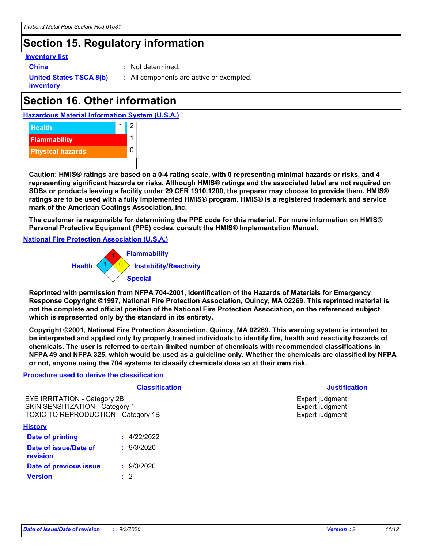# **Section 15. Regulatory information**

### **Inventory list**

**China :** Not determined.

**United States TSCA 8(b) inventory**

**:** All components are active or exempted.

# **Section 16. Other information**





**Caution: HMIS® ratings are based on a 0-4 rating scale, with 0 representing minimal hazards or risks, and 4 representing significant hazards or risks. Although HMIS® ratings and the associated label are not required on SDSs or products leaving a facility under 29 CFR 1910.1200, the preparer may choose to provide them. HMIS® ratings are to be used with a fully implemented HMIS® program. HMIS® is a registered trademark and service mark of the American Coatings Association, Inc.**

**The customer is responsible for determining the PPE code for this material. For more information on HMIS® Personal Protective Equipment (PPE) codes, consult the HMIS® Implementation Manual.**

**National Fire Protection Association (U.S.A.)**



**Reprinted with permission from NFPA 704-2001, Identification of the Hazards of Materials for Emergency Response Copyright ©1997, National Fire Protection Association, Quincy, MA 02269. This reprinted material is not the complete and official position of the National Fire Protection Association, on the referenced subject which is represented only by the standard in its entirety.**

**Copyright ©2001, National Fire Protection Association, Quincy, MA 02269. This warning system is intended to be interpreted and applied only by properly trained individuals to identify fire, health and reactivity hazards of chemicals. The user is referred to certain limited number of chemicals with recommended classifications in NFPA 49 and NFPA 325, which would be used as a guideline only. Whether the chemicals are classified by NFPA or not, anyone using the 704 systems to classify chemicals does so at their own risk.**

### **Procedure used to derive the classification**

| <b>Classification</b>                                                                                         | <b>Justification</b>                                  |
|---------------------------------------------------------------------------------------------------------------|-------------------------------------------------------|
| <b>EYE IRRITATION - Category 2B</b><br>SKIN SENSITIZATION - Category 1<br>TOXIC TO REPRODUCTION - Category 1B | Expert judgment<br>Expert judgment<br>Expert judgment |
| <b>History</b>                                                                                                |                                                       |

| .                                 |             |
|-----------------------------------|-------------|
| <b>Date of printing</b>           | : 4/22/2022 |
| Date of issue/Date of<br>revision | : 9/3/2020  |
| Date of previous issue            | : 9/3/2020  |
| <b>Version</b>                    | $\cdot$ 2   |
|                                   |             |